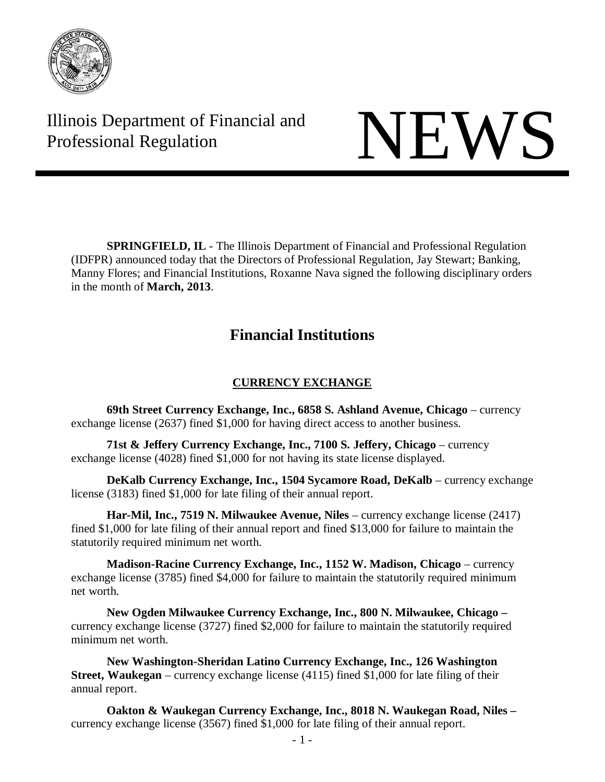

Illinois Department of Financial and Illinois Department of Financial and<br>Professional Regulation

**SPRINGFIELD, IL** - The Illinois Department of Financial and Professional Regulation (IDFPR) announced today that the Directors of Professional Regulation, Jay Stewart; Banking, Manny Flores; and Financial Institutions, Roxanne Nava signed the following disciplinary orders in the month of **March, 2013**.

# **Financial Institutions**

# **CURRENCY EXCHANGE**

**69th Street Currency Exchange, Inc., 6858 S. Ashland Avenue, Chicago** – currency exchange license (2637) fined \$1,000 for having direct access to another business.

**71st & Jeffery Currency Exchange, Inc., 7100 S. Jeffery, Chicago** – currency exchange license (4028) fined \$1,000 for not having its state license displayed.

**DeKalb Currency Exchange, Inc., 1504 Sycamore Road, DeKalb** – currency exchange license (3183) fined \$1,000 for late filing of their annual report.

**Har-Mil, Inc., 7519 N. Milwaukee Avenue, Niles** – currency exchange license (2417) fined \$1,000 for late filing of their annual report and fined \$13,000 for failure to maintain the statutorily required minimum net worth.

**Madison-Racine Currency Exchange, Inc., 1152 W. Madison, Chicago** – currency exchange license (3785) fined \$4,000 for failure to maintain the statutorily required minimum net worth.

**New Ogden Milwaukee Currency Exchange, Inc., 800 N. Milwaukee, Chicago –** currency exchange license (3727) fined \$2,000 for failure to maintain the statutorily required minimum net worth.

**New Washington-Sheridan Latino Currency Exchange, Inc., 126 Washington Street, Waukegan** – currency exchange license (4115) fined \$1,000 for late filing of their annual report.

**Oakton & Waukegan Currency Exchange, Inc., 8018 N. Waukegan Road, Niles –** currency exchange license (3567) fined \$1,000 for late filing of their annual report.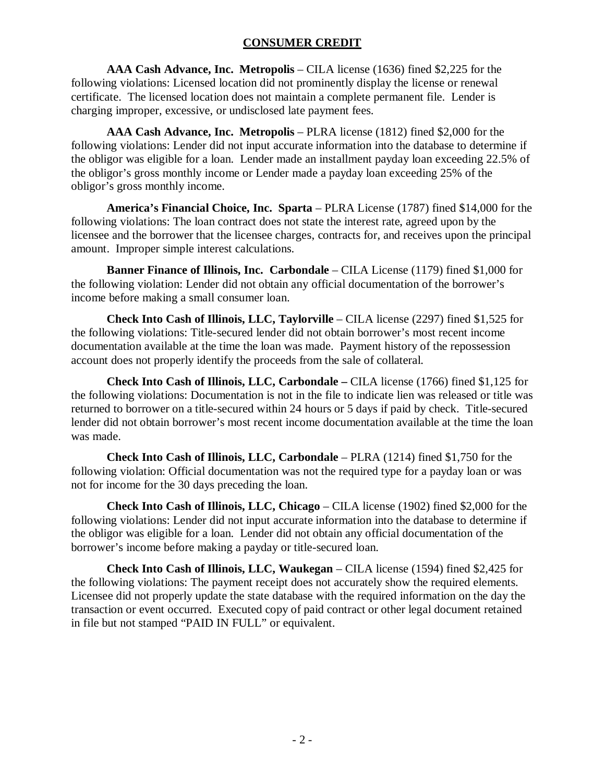# **CONSUMER CREDIT**

**AAA Cash Advance, Inc. Metropolis** – CILA license (1636) fined \$2,225 for the following violations: Licensed location did not prominently display the license or renewal certificate. The licensed location does not maintain a complete permanent file. Lender is charging improper, excessive, or undisclosed late payment fees.

**AAA Cash Advance, Inc. Metropolis** – PLRA license (1812) fined \$2,000 for the following violations: Lender did not input accurate information into the database to determine if the obligor was eligible for a loan. Lender made an installment payday loan exceeding 22.5% of the obligor's gross monthly income or Lender made a payday loan exceeding 25% of the obligor's gross monthly income.

**America's Financial Choice, Inc. Sparta** – PLRA License (1787) fined \$14,000 for the following violations: The loan contract does not state the interest rate, agreed upon by the licensee and the borrower that the licensee charges, contracts for, and receives upon the principal amount. Improper simple interest calculations.

**Banner Finance of Illinois, Inc. Carbondale** – CILA License (1179) fined \$1,000 for the following violation: Lender did not obtain any official documentation of the borrower's income before making a small consumer loan.

**Check Into Cash of Illinois, LLC, Taylorville** – CILA license (2297) fined \$1,525 for the following violations: Title-secured lender did not obtain borrower's most recent income documentation available at the time the loan was made. Payment history of the repossession account does not properly identify the proceeds from the sale of collateral.

**Check Into Cash of Illinois, LLC, Carbondale –** CILA license (1766) fined \$1,125 for the following violations: Documentation is not in the file to indicate lien was released or title was returned to borrower on a title-secured within 24 hours or 5 days if paid by check. Title-secured lender did not obtain borrower's most recent income documentation available at the time the loan was made.

**Check Into Cash of Illinois, LLC, Carbondale** – PLRA (1214) fined \$1,750 for the following violation: Official documentation was not the required type for a payday loan or was not for income for the 30 days preceding the loan.

**Check Into Cash of Illinois, LLC, Chicago** – CILA license (1902) fined \$2,000 for the following violations: Lender did not input accurate information into the database to determine if the obligor was eligible for a loan. Lender did not obtain any official documentation of the borrower's income before making a payday or title-secured loan.

**Check Into Cash of Illinois, LLC, Waukegan** – CILA license (1594) fined \$2,425 for the following violations: The payment receipt does not accurately show the required elements. Licensee did not properly update the state database with the required information on the day the transaction or event occurred. Executed copy of paid contract or other legal document retained in file but not stamped "PAID IN FULL" or equivalent.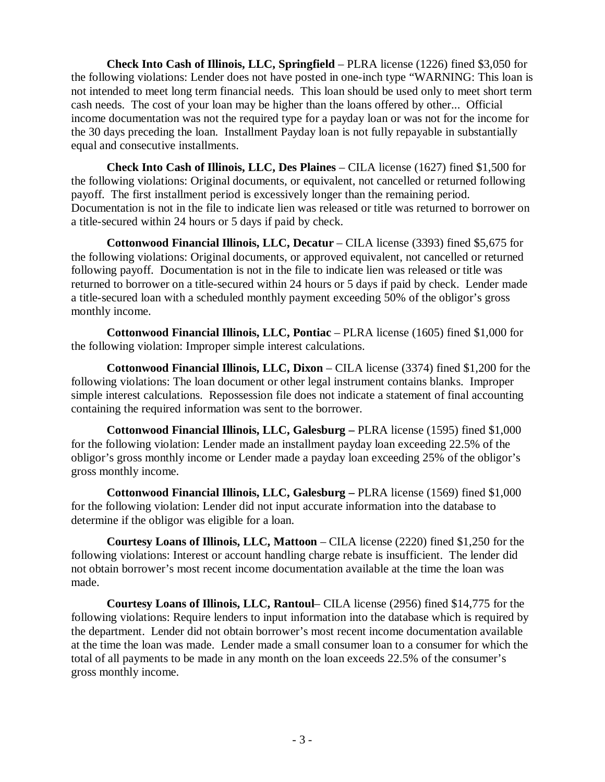**Check Into Cash of Illinois, LLC, Springfield** – PLRA license (1226) fined \$3,050 for the following violations: Lender does not have posted in one-inch type "WARNING: This loan is not intended to meet long term financial needs. This loan should be used only to meet short term cash needs. The cost of your loan may be higher than the loans offered by other... Official income documentation was not the required type for a payday loan or was not for the income for the 30 days preceding the loan. Installment Payday loan is not fully repayable in substantially equal and consecutive installments.

**Check Into Cash of Illinois, LLC, Des Plaines** – CILA license (1627) fined \$1,500 for the following violations: Original documents, or equivalent, not cancelled or returned following payoff. The first installment period is excessively longer than the remaining period. Documentation is not in the file to indicate lien was released or title was returned to borrower on a title-secured within 24 hours or 5 days if paid by check.

**Cottonwood Financial Illinois, LLC, Decatur** – CILA license (3393) fined \$5,675 for the following violations: Original documents, or approved equivalent, not cancelled or returned following payoff. Documentation is not in the file to indicate lien was released or title was returned to borrower on a title-secured within 24 hours or 5 days if paid by check. Lender made a title-secured loan with a scheduled monthly payment exceeding 50% of the obligor's gross monthly income.

**Cottonwood Financial Illinois, LLC, Pontiac** – PLRA license (1605) fined \$1,000 for the following violation: Improper simple interest calculations.

**Cottonwood Financial Illinois, LLC, Dixon** – CILA license (3374) fined \$1,200 for the following violations: The loan document or other legal instrument contains blanks. Improper simple interest calculations. Repossession file does not indicate a statement of final accounting containing the required information was sent to the borrower.

**Cottonwood Financial Illinois, LLC, Galesburg –** PLRA license (1595) fined \$1,000 for the following violation: Lender made an installment payday loan exceeding 22.5% of the obligor's gross monthly income or Lender made a payday loan exceeding 25% of the obligor's gross monthly income.

**Cottonwood Financial Illinois, LLC, Galesburg –** PLRA license (1569) fined \$1,000 for the following violation: Lender did not input accurate information into the database to determine if the obligor was eligible for a loan.

**Courtesy Loans of Illinois, LLC, Mattoon** – CILA license (2220) fined \$1,250 for the following violations: Interest or account handling charge rebate is insufficient. The lender did not obtain borrower's most recent income documentation available at the time the loan was made.

**Courtesy Loans of Illinois, LLC, Rantoul**– CILA license (2956) fined \$14,775 for the following violations: Require lenders to input information into the database which is required by the department. Lender did not obtain borrower's most recent income documentation available at the time the loan was made. Lender made a small consumer loan to a consumer for which the total of all payments to be made in any month on the loan exceeds 22.5% of the consumer's gross monthly income.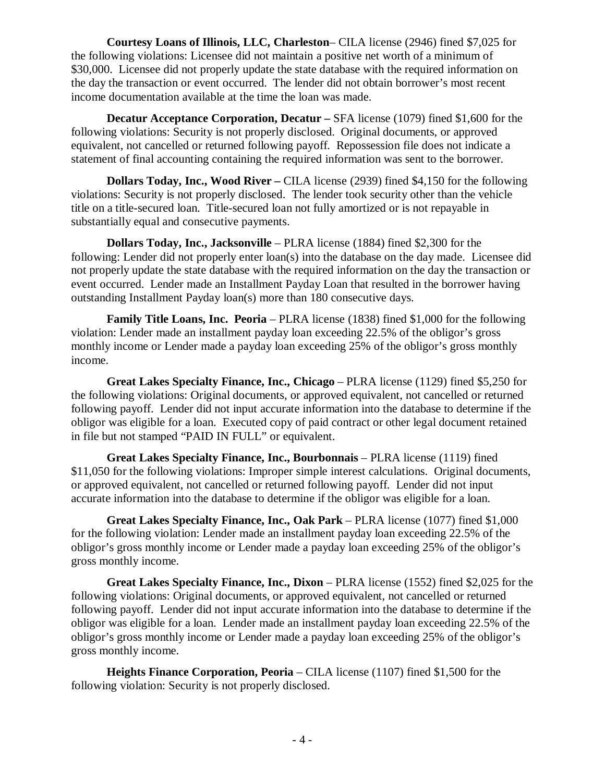**Courtesy Loans of Illinois, LLC, Charleston**– CILA license (2946) fined \$7,025 for the following violations: Licensee did not maintain a positive net worth of a minimum of \$30,000. Licensee did not properly update the state database with the required information on the day the transaction or event occurred. The lender did not obtain borrower's most recent income documentation available at the time the loan was made.

**Decatur Acceptance Corporation, Decatur –** SFA license (1079) fined \$1,600 for the following violations: Security is not properly disclosed. Original documents, or approved equivalent, not cancelled or returned following payoff. Repossession file does not indicate a statement of final accounting containing the required information was sent to the borrower.

**Dollars Today, Inc., Wood River –** CILA license (2939) fined \$4,150 for the following violations: Security is not properly disclosed. The lender took security other than the vehicle title on a title-secured loan. Title-secured loan not fully amortized or is not repayable in substantially equal and consecutive payments.

**Dollars Today, Inc., Jacksonville** – PLRA license (1884) fined \$2,300 for the following: Lender did not properly enter loan(s) into the database on the day made. Licensee did not properly update the state database with the required information on the day the transaction or event occurred. Lender made an Installment Payday Loan that resulted in the borrower having outstanding Installment Payday loan(s) more than 180 consecutive days.

**Family Title Loans, Inc. Peoria** – PLRA license (1838) fined \$1,000 for the following violation: Lender made an installment payday loan exceeding 22.5% of the obligor's gross monthly income or Lender made a payday loan exceeding 25% of the obligor's gross monthly income.

**Great Lakes Specialty Finance, Inc., Chicago** – PLRA license (1129) fined \$5,250 for the following violations: Original documents, or approved equivalent, not cancelled or returned following payoff. Lender did not input accurate information into the database to determine if the obligor was eligible for a loan. Executed copy of paid contract or other legal document retained in file but not stamped "PAID IN FULL" or equivalent.

**Great Lakes Specialty Finance, Inc., Bourbonnais** – PLRA license (1119) fined \$11,050 for the following violations: Improper simple interest calculations. Original documents, or approved equivalent, not cancelled or returned following payoff. Lender did not input accurate information into the database to determine if the obligor was eligible for a loan.

**Great Lakes Specialty Finance, Inc., Oak Park** – PLRA license (1077) fined \$1,000 for the following violation: Lender made an installment payday loan exceeding 22.5% of the obligor's gross monthly income or Lender made a payday loan exceeding 25% of the obligor's gross monthly income.

**Great Lakes Specialty Finance, Inc., Dixon** – PLRA license (1552) fined \$2,025 for the following violations: Original documents, or approved equivalent, not cancelled or returned following payoff. Lender did not input accurate information into the database to determine if the obligor was eligible for a loan. Lender made an installment payday loan exceeding 22.5% of the obligor's gross monthly income or Lender made a payday loan exceeding 25% of the obligor's gross monthly income.

**Heights Finance Corporation, Peoria** – CILA license (1107) fined \$1,500 for the following violation: Security is not properly disclosed.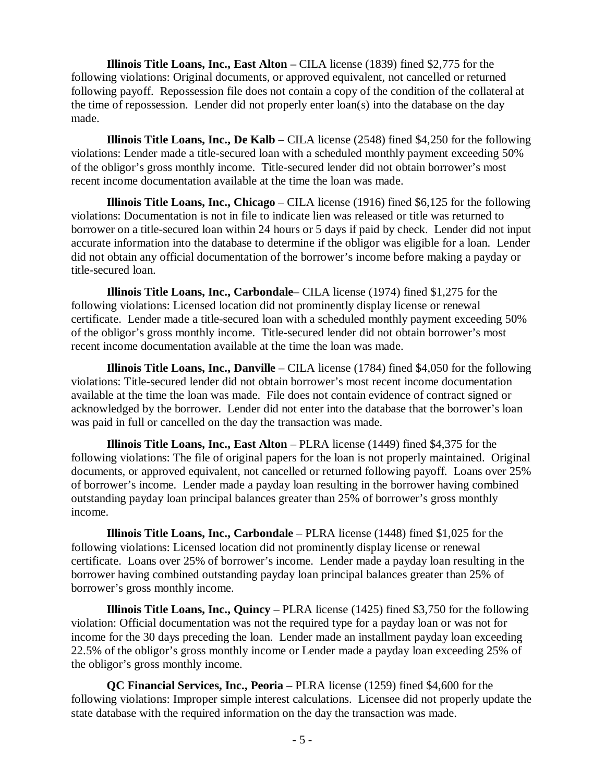**Illinois Title Loans, Inc., East Alton –** CILA license (1839) fined \$2,775 for the following violations: Original documents, or approved equivalent, not cancelled or returned following payoff. Repossession file does not contain a copy of the condition of the collateral at the time of repossession. Lender did not properly enter loan(s) into the database on the day made.

**Illinois Title Loans, Inc., De Kalb** – CILA license (2548) fined \$4,250 for the following violations: Lender made a title-secured loan with a scheduled monthly payment exceeding 50% of the obligor's gross monthly income. Title-secured lender did not obtain borrower's most recent income documentation available at the time the loan was made.

**Illinois Title Loans, Inc., Chicago** – CILA license (1916) fined \$6,125 for the following violations: Documentation is not in file to indicate lien was released or title was returned to borrower on a title-secured loan within 24 hours or 5 days if paid by check. Lender did not input accurate information into the database to determine if the obligor was eligible for a loan. Lender did not obtain any official documentation of the borrower's income before making a payday or title-secured loan.

**Illinois Title Loans, Inc., Carbondale**– CILA license (1974) fined \$1,275 for the following violations: Licensed location did not prominently display license or renewal certificate. Lender made a title-secured loan with a scheduled monthly payment exceeding 50% of the obligor's gross monthly income. Title-secured lender did not obtain borrower's most recent income documentation available at the time the loan was made.

**Illinois Title Loans, Inc., Danville** – CILA license (1784) fined \$4,050 for the following violations: Title-secured lender did not obtain borrower's most recent income documentation available at the time the loan was made. File does not contain evidence of contract signed or acknowledged by the borrower. Lender did not enter into the database that the borrower's loan was paid in full or cancelled on the day the transaction was made.

**Illinois Title Loans, Inc., East Alton** – PLRA license (1449) fined \$4,375 for the following violations: The file of original papers for the loan is not properly maintained. Original documents, or approved equivalent, not cancelled or returned following payoff. Loans over 25% of borrower's income. Lender made a payday loan resulting in the borrower having combined outstanding payday loan principal balances greater than 25% of borrower's gross monthly income.

**Illinois Title Loans, Inc., Carbondale** – PLRA license (1448) fined \$1,025 for the following violations: Licensed location did not prominently display license or renewal certificate. Loans over 25% of borrower's income. Lender made a payday loan resulting in the borrower having combined outstanding payday loan principal balances greater than 25% of borrower's gross monthly income.

**Illinois Title Loans, Inc., Quincy** – PLRA license (1425) fined \$3,750 for the following violation: Official documentation was not the required type for a payday loan or was not for income for the 30 days preceding the loan. Lender made an installment payday loan exceeding 22.5% of the obligor's gross monthly income or Lender made a payday loan exceeding 25% of the obligor's gross monthly income.

**QC Financial Services, Inc., Peoria** – PLRA license (1259) fined \$4,600 for the following violations: Improper simple interest calculations. Licensee did not properly update the state database with the required information on the day the transaction was made.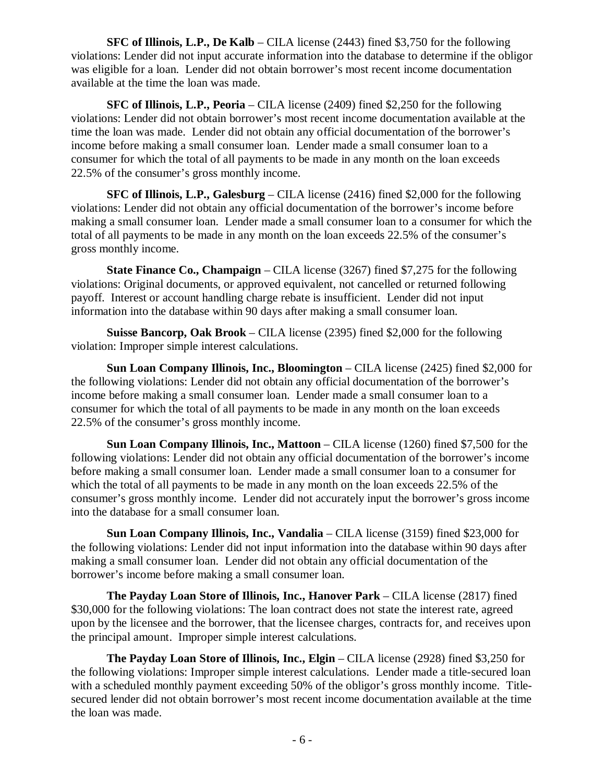**SFC of Illinois, L.P., De Kalb** – CILA license (2443) fined \$3,750 for the following violations: Lender did not input accurate information into the database to determine if the obligor was eligible for a loan. Lender did not obtain borrower's most recent income documentation available at the time the loan was made.

**SFC of Illinois, L.P., Peoria** – CILA license (2409) fined \$2,250 for the following violations: Lender did not obtain borrower's most recent income documentation available at the time the loan was made. Lender did not obtain any official documentation of the borrower's income before making a small consumer loan. Lender made a small consumer loan to a consumer for which the total of all payments to be made in any month on the loan exceeds 22.5% of the consumer's gross monthly income.

**SFC of Illinois, L.P., Galesburg** – CILA license (2416) fined \$2,000 for the following violations: Lender did not obtain any official documentation of the borrower's income before making a small consumer loan. Lender made a small consumer loan to a consumer for which the total of all payments to be made in any month on the loan exceeds 22.5% of the consumer's gross monthly income.

**State Finance Co., Champaign** – CILA license (3267) fined \$7,275 for the following violations: Original documents, or approved equivalent, not cancelled or returned following payoff. Interest or account handling charge rebate is insufficient. Lender did not input information into the database within 90 days after making a small consumer loan.

**Suisse Bancorp, Oak Brook** – CILA license (2395) fined \$2,000 for the following violation: Improper simple interest calculations.

**Sun Loan Company Illinois, Inc., Bloomington** – CILA license (2425) fined \$2,000 for the following violations: Lender did not obtain any official documentation of the borrower's income before making a small consumer loan. Lender made a small consumer loan to a consumer for which the total of all payments to be made in any month on the loan exceeds 22.5% of the consumer's gross monthly income.

**Sun Loan Company Illinois, Inc., Mattoon** – CILA license (1260) fined \$7,500 for the following violations: Lender did not obtain any official documentation of the borrower's income before making a small consumer loan. Lender made a small consumer loan to a consumer for which the total of all payments to be made in any month on the loan exceeds 22.5% of the consumer's gross monthly income. Lender did not accurately input the borrower's gross income into the database for a small consumer loan.

**Sun Loan Company Illinois, Inc., Vandalia** – CILA license (3159) fined \$23,000 for the following violations: Lender did not input information into the database within 90 days after making a small consumer loan. Lender did not obtain any official documentation of the borrower's income before making a small consumer loan.

**The Payday Loan Store of Illinois, Inc., Hanover Park** – CILA license (2817) fined \$30,000 for the following violations: The loan contract does not state the interest rate, agreed upon by the licensee and the borrower, that the licensee charges, contracts for, and receives upon the principal amount. Improper simple interest calculations.

**The Payday Loan Store of Illinois, Inc., Elgin** – CILA license (2928) fined \$3,250 for the following violations: Improper simple interest calculations. Lender made a title-secured loan with a scheduled monthly payment exceeding 50% of the obligor's gross monthly income. Titlesecured lender did not obtain borrower's most recent income documentation available at the time the loan was made.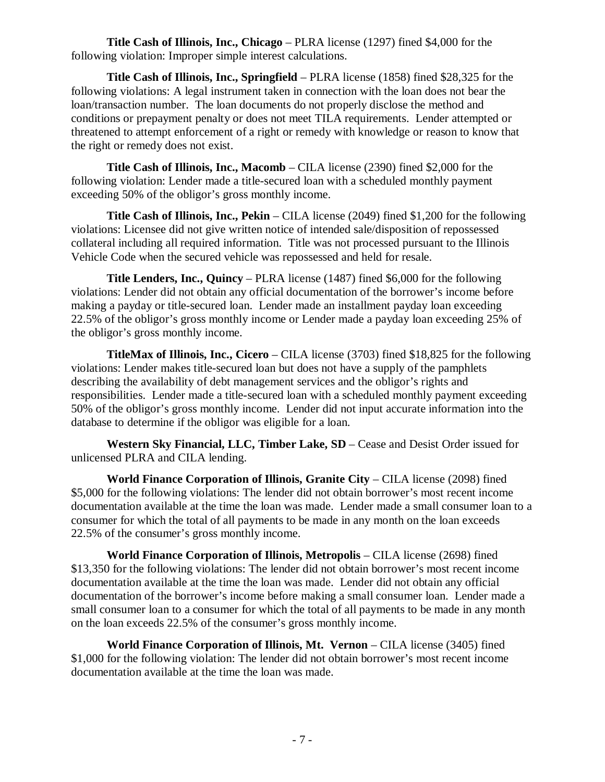**Title Cash of Illinois, Inc., Chicago** – PLRA license (1297) fined \$4,000 for the following violation: Improper simple interest calculations.

**Title Cash of Illinois, Inc., Springfield** – PLRA license (1858) fined \$28,325 for the following violations: A legal instrument taken in connection with the loan does not bear the loan/transaction number. The loan documents do not properly disclose the method and conditions or prepayment penalty or does not meet TILA requirements. Lender attempted or threatened to attempt enforcement of a right or remedy with knowledge or reason to know that the right or remedy does not exist.

**Title Cash of Illinois, Inc., Macomb** – CILA license (2390) fined \$2,000 for the following violation: Lender made a title-secured loan with a scheduled monthly payment exceeding 50% of the obligor's gross monthly income.

**Title Cash of Illinois, Inc., Pekin** – CILA license (2049) fined \$1,200 for the following violations: Licensee did not give written notice of intended sale/disposition of repossessed collateral including all required information. Title was not processed pursuant to the Illinois Vehicle Code when the secured vehicle was repossessed and held for resale.

**Title Lenders, Inc., Quincy** – PLRA license (1487) fined \$6,000 for the following violations: Lender did not obtain any official documentation of the borrower's income before making a payday or title-secured loan. Lender made an installment payday loan exceeding 22.5% of the obligor's gross monthly income or Lender made a payday loan exceeding 25% of the obligor's gross monthly income.

**TitleMax of Illinois, Inc., Cicero** – CILA license (3703) fined \$18,825 for the following violations: Lender makes title-secured loan but does not have a supply of the pamphlets describing the availability of debt management services and the obligor's rights and responsibilities. Lender made a title-secured loan with a scheduled monthly payment exceeding 50% of the obligor's gross monthly income. Lender did not input accurate information into the database to determine if the obligor was eligible for a loan.

**Western Sky Financial, LLC, Timber Lake, SD** – Cease and Desist Order issued for unlicensed PLRA and CILA lending.

**World Finance Corporation of Illinois, Granite City** – CILA license (2098) fined \$5,000 for the following violations: The lender did not obtain borrower's most recent income documentation available at the time the loan was made. Lender made a small consumer loan to a consumer for which the total of all payments to be made in any month on the loan exceeds 22.5% of the consumer's gross monthly income.

**World Finance Corporation of Illinois, Metropolis** – CILA license (2698) fined \$13,350 for the following violations: The lender did not obtain borrower's most recent income documentation available at the time the loan was made. Lender did not obtain any official documentation of the borrower's income before making a small consumer loan. Lender made a small consumer loan to a consumer for which the total of all payments to be made in any month on the loan exceeds 22.5% of the consumer's gross monthly income.

**World Finance Corporation of Illinois, Mt. Vernon** – CILA license (3405) fined \$1,000 for the following violation: The lender did not obtain borrower's most recent income documentation available at the time the loan was made.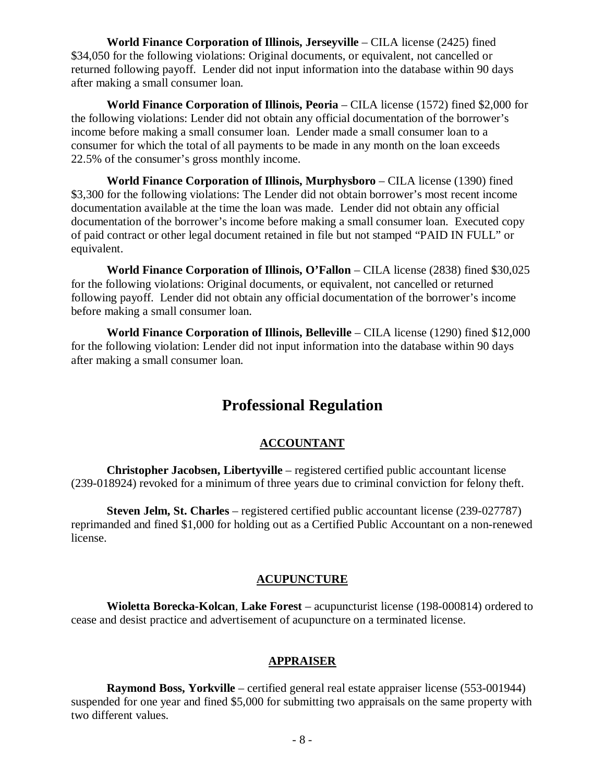**World Finance Corporation of Illinois, Jerseyville** – CILA license (2425) fined \$34,050 for the following violations: Original documents, or equivalent, not cancelled or returned following payoff. Lender did not input information into the database within 90 days after making a small consumer loan.

**World Finance Corporation of Illinois, Peoria** – CILA license (1572) fined \$2,000 for the following violations: Lender did not obtain any official documentation of the borrower's income before making a small consumer loan. Lender made a small consumer loan to a consumer for which the total of all payments to be made in any month on the loan exceeds 22.5% of the consumer's gross monthly income.

**World Finance Corporation of Illinois, Murphysboro** – CILA license (1390) fined \$3,300 for the following violations: The Lender did not obtain borrower's most recent income documentation available at the time the loan was made. Lender did not obtain any official documentation of the borrower's income before making a small consumer loan. Executed copy of paid contract or other legal document retained in file but not stamped "PAID IN FULL" or equivalent.

**World Finance Corporation of Illinois, O'Fallon** – CILA license (2838) fined \$30,025 for the following violations: Original documents, or equivalent, not cancelled or returned following payoff. Lender did not obtain any official documentation of the borrower's income before making a small consumer loan.

**World Finance Corporation of Illinois, Belleville** – CILA license (1290) fined \$12,000 for the following violation: Lender did not input information into the database within 90 days after making a small consumer loan.

# **Professional Regulation**

# **ACCOUNTANT**

**Christopher Jacobsen, Libertyville** – registered certified public accountant license (239-018924) revoked for a minimum of three years due to criminal conviction for felony theft.

**Steven Jelm, St. Charles** – registered certified public accountant license (239-027787) reprimanded and fined \$1,000 for holding out as a Certified Public Accountant on a non-renewed license.

#### **ACUPUNCTURE**

**Wioletta Borecka-Kolcan**, **Lake Forest** – acupuncturist license (198-000814) ordered to cease and desist practice and advertisement of acupuncture on a terminated license.

# **APPRAISER**

**Raymond Boss, Yorkville** – certified general real estate appraiser license (553-001944) suspended for one year and fined \$5,000 for submitting two appraisals on the same property with two different values.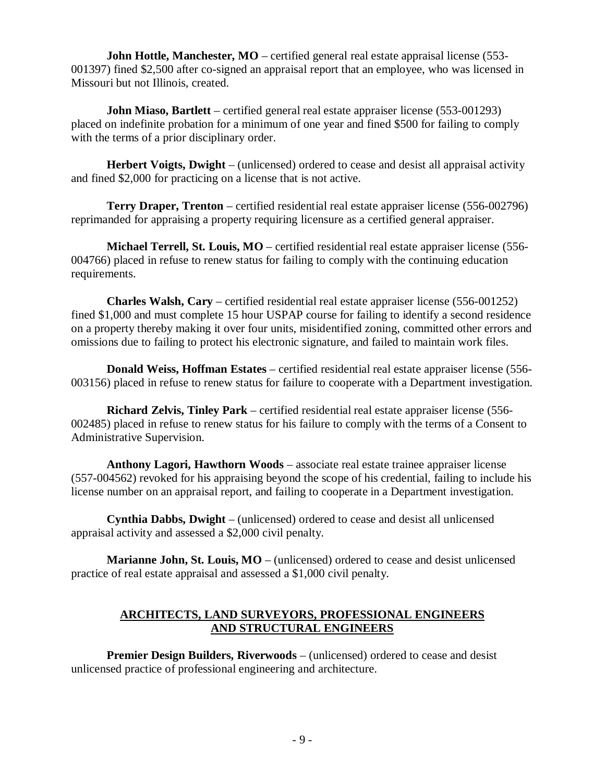**John Hottle, Manchester, MO** – certified general real estate appraisal license (553-001397) fined \$2,500 after co-signed an appraisal report that an employee, who was licensed in Missouri but not Illinois, created.

**John Miaso, Bartlett** – certified general real estate appraiser license (553-001293) placed on indefinite probation for a minimum of one year and fined \$500 for failing to comply with the terms of a prior disciplinary order.

**Herbert Voigts, Dwight** – (unlicensed) ordered to cease and desist all appraisal activity and fined \$2,000 for practicing on a license that is not active.

**Terry Draper, Trenton** – certified residential real estate appraiser license (556-002796) reprimanded for appraising a property requiring licensure as a certified general appraiser.

**Michael Terrell, St. Louis, MO** – certified residential real estate appraiser license (556- 004766) placed in refuse to renew status for failing to comply with the continuing education requirements.

**Charles Walsh, Cary** – certified residential real estate appraiser license (556-001252) fined \$1,000 and must complete 15 hour USPAP course for failing to identify a second residence on a property thereby making it over four units, misidentified zoning, committed other errors and omissions due to failing to protect his electronic signature, and failed to maintain work files.

**Donald Weiss, Hoffman Estates** – certified residential real estate appraiser license (556- 003156) placed in refuse to renew status for failure to cooperate with a Department investigation.

**Richard Zelvis, Tinley Park** – certified residential real estate appraiser license (556- 002485) placed in refuse to renew status for his failure to comply with the terms of a Consent to Administrative Supervision.

**Anthony Lagori, Hawthorn Woods** – associate real estate trainee appraiser license (557-004562) revoked for his appraising beyond the scope of his credential, failing to include his license number on an appraisal report, and failing to cooperate in a Department investigation.

**Cynthia Dabbs, Dwight** – (unlicensed) ordered to cease and desist all unlicensed appraisal activity and assessed a \$2,000 civil penalty.

**Marianne John, St. Louis, MO** – (unlicensed) ordered to cease and desist unlicensed practice of real estate appraisal and assessed a \$1,000 civil penalty.

# **ARCHITECTS, LAND SURVEYORS, PROFESSIONAL ENGINEERS AND STRUCTURAL ENGINEERS**

**Premier Design Builders, Riverwoods** – (unlicensed) ordered to cease and desist unlicensed practice of professional engineering and architecture.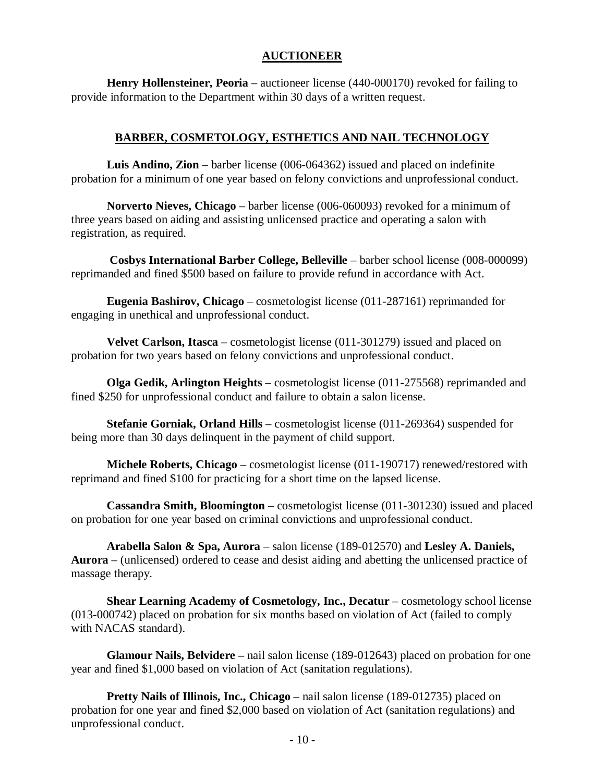# **AUCTIONEER**

**Henry Hollensteiner, Peoria** – auctioneer license (440-000170) revoked for failing to provide information to the Department within 30 days of a written request.

# **BARBER, COSMETOLOGY, ESTHETICS AND NAIL TECHNOLOGY**

**Luis Andino, Zion** – barber license (006-064362) issued and placed on indefinite probation for a minimum of one year based on felony convictions and unprofessional conduct.

**Norverto Nieves, Chicago** – barber license (006-060093) revoked for a minimum of three years based on aiding and assisting unlicensed practice and operating a salon with registration, as required.

**Cosbys International Barber College, Belleville** – barber school license (008-000099) reprimanded and fined \$500 based on failure to provide refund in accordance with Act.

**Eugenia Bashirov, Chicago** – cosmetologist license (011-287161) reprimanded for engaging in unethical and unprofessional conduct.

**Velvet Carlson, Itasca** – cosmetologist license (011-301279) issued and placed on probation for two years based on felony convictions and unprofessional conduct.

**Olga Gedik, Arlington Heights** – cosmetologist license (011-275568) reprimanded and fined \$250 for unprofessional conduct and failure to obtain a salon license.

**Stefanie Gorniak, Orland Hills** – cosmetologist license (011-269364) suspended for being more than 30 days delinquent in the payment of child support.

**Michele Roberts, Chicago** – cosmetologist license (011-190717) renewed/restored with reprimand and fined \$100 for practicing for a short time on the lapsed license.

**Cassandra Smith, Bloomington** – cosmetologist license (011-301230) issued and placed on probation for one year based on criminal convictions and unprofessional conduct.

**Arabella Salon & Spa, Aurora** – salon license (189-012570) and **Lesley A. Daniels, Aurora** – (unlicensed) ordered to cease and desist aiding and abetting the unlicensed practice of massage therapy.

**Shear Learning Academy of Cosmetology, Inc., Decatur** – cosmetology school license (013-000742) placed on probation for six months based on violation of Act (failed to comply with NACAS standard).

**Glamour Nails, Belvidere –** nail salon license (189-012643) placed on probation for one year and fined \$1,000 based on violation of Act (sanitation regulations).

**Pretty Nails of Illinois, Inc., Chicago** – nail salon license (189-012735) placed on probation for one year and fined \$2,000 based on violation of Act (sanitation regulations) and unprofessional conduct.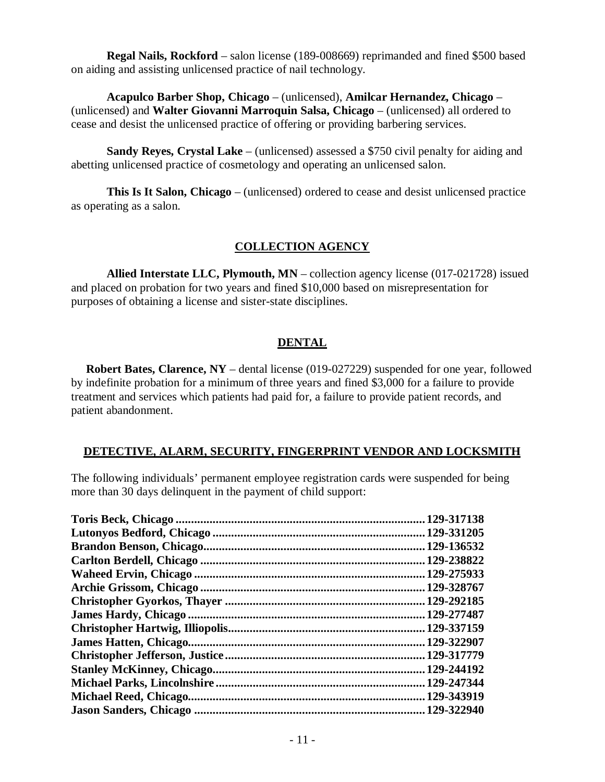**Regal Nails, Rockford** – salon license (189-008669) reprimanded and fined \$500 based on aiding and assisting unlicensed practice of nail technology.

**Acapulco Barber Shop, Chicago** – (unlicensed), **Amilcar Hernandez, Chicago** – (unlicensed) and **Walter Giovanni Marroquin Salsa, Chicago** – (unlicensed) all ordered to cease and desist the unlicensed practice of offering or providing barbering services.

**Sandy Reyes, Crystal Lake** – (unlicensed) assessed a \$750 civil penalty for aiding and abetting unlicensed practice of cosmetology and operating an unlicensed salon.

**This Is It Salon, Chicago** – (unlicensed) ordered to cease and desist unlicensed practice as operating as a salon.

# **COLLECTION AGENCY**

**Allied Interstate LLC, Plymouth, MN** – collection agency license (017-021728) issued and placed on probation for two years and fined \$10,000 based on misrepresentation for purposes of obtaining a license and sister-state disciplines.

# **DENTAL**

**Robert Bates, Clarence, NY** – dental license (019-027229) suspended for one year, followed by indefinite probation for a minimum of three years and fined \$3,000 for a failure to provide treatment and services which patients had paid for, a failure to provide patient records, and patient abandonment.

# **DETECTIVE, ALARM, SECURITY, FINGERPRINT VENDOR AND LOCKSMITH**

The following individuals' permanent employee registration cards were suspended for being more than 30 days delinquent in the payment of child support:

| 129-317138   |
|--------------|
| .129-331205  |
| 129-136532   |
| .129-238822  |
| 129-275933   |
| .129-328767  |
| .129-292185  |
| .129-277487  |
| .129-337159  |
| .129-322907  |
| 129-317779   |
| .129-244192  |
| 129-247344   |
| . 129-343919 |
| 129-322940   |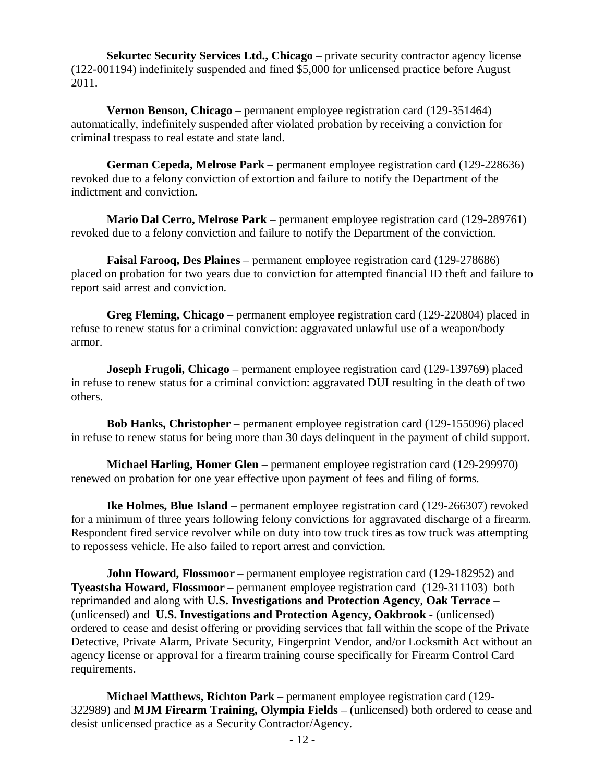**Sekurtec Security Services Ltd., Chicago** – private security contractor agency license (122-001194) indefinitely suspended and fined \$5,000 for unlicensed practice before August 2011.

**Vernon Benson, Chicago** – permanent employee registration card (129-351464) automatically, indefinitely suspended after violated probation by receiving a conviction for criminal trespass to real estate and state land.

**German Cepeda, Melrose Park** – permanent employee registration card (129-228636) revoked due to a felony conviction of extortion and failure to notify the Department of the indictment and conviction.

**Mario Dal Cerro, Melrose Park** – permanent employee registration card (129-289761) revoked due to a felony conviction and failure to notify the Department of the conviction.

**Faisal Farooq, Des Plaines** – permanent employee registration card (129-278686) placed on probation for two years due to conviction for attempted financial ID theft and failure to report said arrest and conviction.

**Greg Fleming, Chicago** – permanent employee registration card (129-220804) placed in refuse to renew status for a criminal conviction: aggravated unlawful use of a weapon/body armor.

**Joseph Frugoli, Chicago** – permanent employee registration card (129-139769) placed in refuse to renew status for a criminal conviction: aggravated DUI resulting in the death of two others.

**Bob Hanks, Christopher** – permanent employee registration card (129-155096) placed in refuse to renew status for being more than 30 days delinquent in the payment of child support.

**Michael Harling, Homer Glen** – permanent employee registration card (129-299970) renewed on probation for one year effective upon payment of fees and filing of forms.

**Ike Holmes, Blue Island** – permanent employee registration card (129-266307) revoked for a minimum of three years following felony convictions for aggravated discharge of a firearm. Respondent fired service revolver while on duty into tow truck tires as tow truck was attempting to repossess vehicle. He also failed to report arrest and conviction.

**John Howard, Flossmoor** – permanent employee registration card (129-182952) and **Tyeastsha Howard, Flossmoor** – permanent employee registration card (129-311103) both reprimanded and along with **U.S. Investigations and Protection Agency**, **Oak Terrace** – (unlicensed) and **U.S. Investigations and Protection Agency, Oakbrook** - (unlicensed) ordered to cease and desist offering or providing services that fall within the scope of the Private Detective, Private Alarm, Private Security, Fingerprint Vendor, and/or Locksmith Act without an agency license or approval for a firearm training course specifically for Firearm Control Card requirements.

**Michael Matthews, Richton Park** – permanent employee registration card (129- 322989) and **MJM Firearm Training, Olympia Fields** – (unlicensed) both ordered to cease and desist unlicensed practice as a Security Contractor/Agency.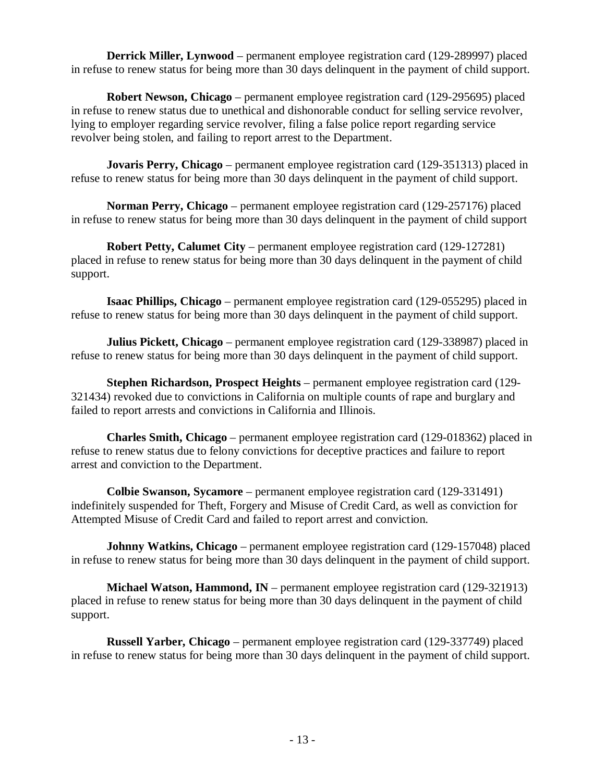**Derrick Miller, Lynwood** – permanent employee registration card (129-289997) placed in refuse to renew status for being more than 30 days delinquent in the payment of child support.

**Robert Newson, Chicago** – permanent employee registration card (129-295695) placed in refuse to renew status due to unethical and dishonorable conduct for selling service revolver, lying to employer regarding service revolver, filing a false police report regarding service revolver being stolen, and failing to report arrest to the Department.

**Jovaris Perry, Chicago** – permanent employee registration card (129-351313) placed in refuse to renew status for being more than 30 days delinquent in the payment of child support.

**Norman Perry, Chicago** – permanent employee registration card (129-257176) placed in refuse to renew status for being more than 30 days delinquent in the payment of child support

**Robert Petty, Calumet City** – permanent employee registration card (129-127281) placed in refuse to renew status for being more than 30 days delinquent in the payment of child support.

**Isaac Phillips, Chicago** – permanent employee registration card (129-055295) placed in refuse to renew status for being more than 30 days delinquent in the payment of child support.

**Julius Pickett, Chicago** – permanent employee registration card (129-338987) placed in refuse to renew status for being more than 30 days delinquent in the payment of child support.

**Stephen Richardson, Prospect Heights** – permanent employee registration card (129- 321434) revoked due to convictions in California on multiple counts of rape and burglary and failed to report arrests and convictions in California and Illinois.

**Charles Smith, Chicago** – permanent employee registration card (129-018362) placed in refuse to renew status due to felony convictions for deceptive practices and failure to report arrest and conviction to the Department.

**Colbie Swanson, Sycamore** – permanent employee registration card (129-331491) indefinitely suspended for Theft, Forgery and Misuse of Credit Card, as well as conviction for Attempted Misuse of Credit Card and failed to report arrest and conviction.

**Johnny Watkins, Chicago** – permanent employee registration card (129-157048) placed in refuse to renew status for being more than 30 days delinquent in the payment of child support.

**Michael Watson, Hammond, IN** – permanent employee registration card (129-321913) placed in refuse to renew status for being more than 30 days delinquent in the payment of child support.

**Russell Yarber, Chicago** – permanent employee registration card (129-337749) placed in refuse to renew status for being more than 30 days delinquent in the payment of child support.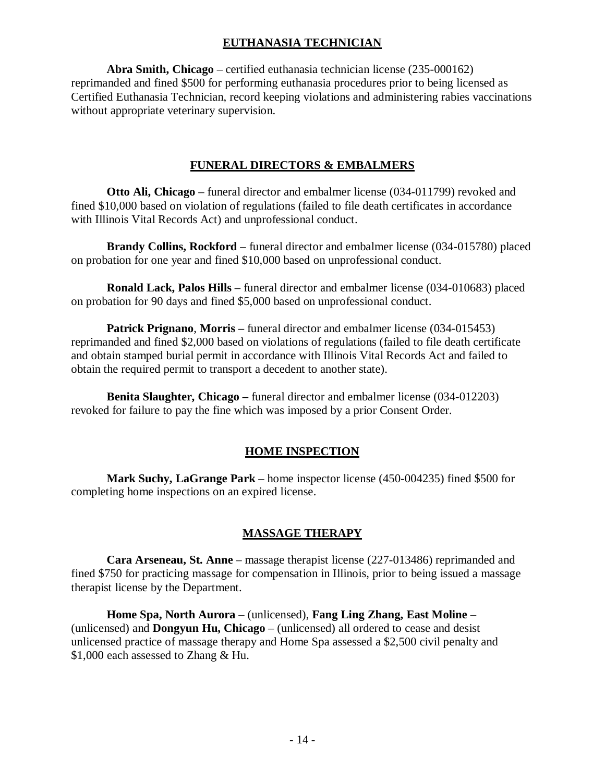# **EUTHANASIA TECHNICIAN**

**Abra Smith, Chicago** – certified euthanasia technician license (235-000162) reprimanded and fined \$500 for performing euthanasia procedures prior to being licensed as Certified Euthanasia Technician, record keeping violations and administering rabies vaccinations without appropriate veterinary supervision.

# **FUNERAL DIRECTORS & EMBALMERS**

**Otto Ali, Chicago** – funeral director and embalmer license (034-011799) revoked and fined \$10,000 based on violation of regulations (failed to file death certificates in accordance with Illinois Vital Records Act) and unprofessional conduct.

**Brandy Collins, Rockford** – funeral director and embalmer license (034-015780) placed on probation for one year and fined \$10,000 based on unprofessional conduct.

**Ronald Lack, Palos Hills** – funeral director and embalmer license (034-010683) placed on probation for 90 days and fined \$5,000 based on unprofessional conduct.

**Patrick Prignano**, **Morris –** funeral director and embalmer license (034-015453) reprimanded and fined \$2,000 based on violations of regulations (failed to file death certificate and obtain stamped burial permit in accordance with Illinois Vital Records Act and failed to obtain the required permit to transport a decedent to another state).

**Benita Slaughter, Chicago –** funeral director and embalmer license (034-012203) revoked for failure to pay the fine which was imposed by a prior Consent Order.

# **HOME INSPECTION**

**Mark Suchy, LaGrange Park** – home inspector license (450-004235) fined \$500 for completing home inspections on an expired license.

# **MASSAGE THERAPY**

**Cara Arseneau, St. Anne** – massage therapist license (227-013486) reprimanded and fined \$750 for practicing massage for compensation in Illinois, prior to being issued a massage therapist license by the Department.

**Home Spa, North Aurora** – (unlicensed), **Fang Ling Zhang, East Moline** – (unlicensed) and **Dongyun Hu, Chicago** – (unlicensed) all ordered to cease and desist unlicensed practice of massage therapy and Home Spa assessed a \$2,500 civil penalty and \$1,000 each assessed to Zhang & Hu.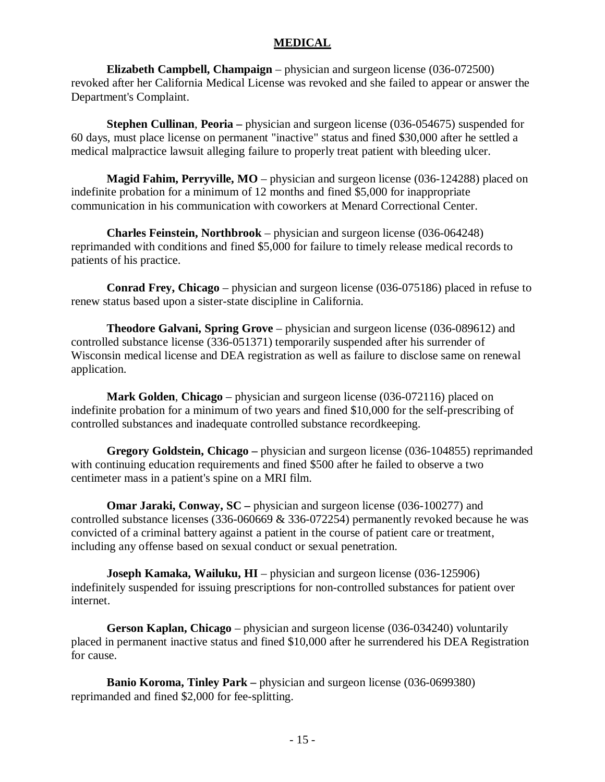#### **MEDICAL**

**Elizabeth Campbell, Champaign** – physician and surgeon license (036-072500) revoked after her California Medical License was revoked and she failed to appear or answer the Department's Complaint.

**Stephen Cullinan**, **Peoria –** physician and surgeon license (036-054675) suspended for 60 days, must place license on permanent "inactive" status and fined \$30,000 after he settled a medical malpractice lawsuit alleging failure to properly treat patient with bleeding ulcer.

**Magid Fahim, Perryville, MO** – physician and surgeon license (036-124288) placed on indefinite probation for a minimum of 12 months and fined \$5,000 for inappropriate communication in his communication with coworkers at Menard Correctional Center.

**Charles Feinstein, Northbrook** – physician and surgeon license (036-064248) reprimanded with conditions and fined \$5,000 for failure to timely release medical records to patients of his practice.

**Conrad Frey, Chicago** – physician and surgeon license (036-075186) placed in refuse to renew status based upon a sister-state discipline in California.

**Theodore Galvani, Spring Grove** – physician and surgeon license (036-089612) and controlled substance license (336-051371) temporarily suspended after his surrender of Wisconsin medical license and DEA registration as well as failure to disclose same on renewal application.

**Mark Golden**, **Chicago** – physician and surgeon license (036-072116) placed on indefinite probation for a minimum of two years and fined \$10,000 for the self-prescribing of controlled substances and inadequate controlled substance recordkeeping.

**Gregory Goldstein, Chicago –** physician and surgeon license (036-104855) reprimanded with continuing education requirements and fined \$500 after he failed to observe a two centimeter mass in a patient's spine on a MRI film.

**Omar Jaraki, Conway, SC** – physician and surgeon license (036-100277) and controlled substance licenses (336-060669 & 336-072254) permanently revoked because he was convicted of a criminal battery against a patient in the course of patient care or treatment, including any offense based on sexual conduct or sexual penetration.

**Joseph Kamaka, Wailuku, HI** – physician and surgeon license (036-125906) indefinitely suspended for issuing prescriptions for non-controlled substances for patient over internet.

**Gerson Kaplan, Chicago** – physician and surgeon license (036-034240) voluntarily placed in permanent inactive status and fined \$10,000 after he surrendered his DEA Registration for cause.

**Banio Koroma, Tinley Park –** physician and surgeon license (036-0699380) reprimanded and fined \$2,000 for fee-splitting.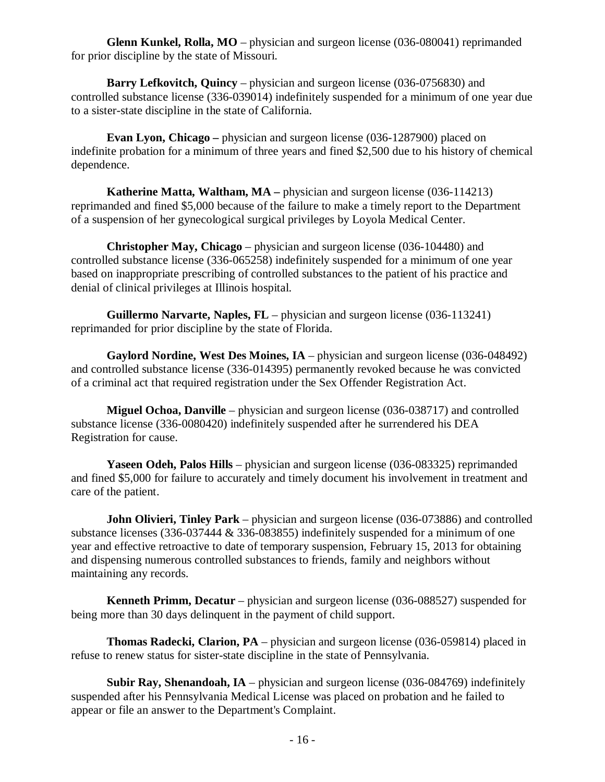**Glenn Kunkel, Rolla, MO** – physician and surgeon license (036-080041) reprimanded for prior discipline by the state of Missouri.

**Barry Lefkovitch, Quincy** – physician and surgeon license (036-0756830) and controlled substance license (336-039014) indefinitely suspended for a minimum of one year due to a sister-state discipline in the state of California.

**Evan Lyon, Chicago** – physician and surgeon license (036-1287900) placed on indefinite probation for a minimum of three years and fined \$2,500 due to his history of chemical dependence.

**Katherine Matta, Waltham, MA –** physician and surgeon license (036-114213) reprimanded and fined \$5,000 because of the failure to make a timely report to the Department of a suspension of her gynecological surgical privileges by Loyola Medical Center.

**Christopher May, Chicago** – physician and surgeon license (036-104480) and controlled substance license (336-065258) indefinitely suspended for a minimum of one year based on inappropriate prescribing of controlled substances to the patient of his practice and denial of clinical privileges at Illinois hospital.

**Guillermo Narvarte, Naples, FL** – physician and surgeon license (036-113241) reprimanded for prior discipline by the state of Florida.

**Gaylord Nordine, West Des Moines, IA** – physician and surgeon license (036-048492) and controlled substance license (336-014395) permanently revoked because he was convicted of a criminal act that required registration under the Sex Offender Registration Act.

**Miguel Ochoa, Danville** – physician and surgeon license (036-038717) and controlled substance license (336-0080420) indefinitely suspended after he surrendered his DEA Registration for cause.

**Yaseen Odeh, Palos Hills** – physician and surgeon license (036-083325) reprimanded and fined \$5,000 for failure to accurately and timely document his involvement in treatment and care of the patient.

**John Olivieri, Tinley Park** – physician and surgeon license (036-073886) and controlled substance licenses (336-037444 & 336-083855) indefinitely suspended for a minimum of one year and effective retroactive to date of temporary suspension, February 15, 2013 for obtaining and dispensing numerous controlled substances to friends, family and neighbors without maintaining any records.

**Kenneth Primm, Decatur** – physician and surgeon license (036-088527) suspended for being more than 30 days delinquent in the payment of child support.

**Thomas Radecki, Clarion, PA** – physician and surgeon license (036-059814) placed in refuse to renew status for sister-state discipline in the state of Pennsylvania.

**Subir Ray, Shenandoah, IA** – physician and surgeon license (036-084769) indefinitely suspended after his Pennsylvania Medical License was placed on probation and he failed to appear or file an answer to the Department's Complaint.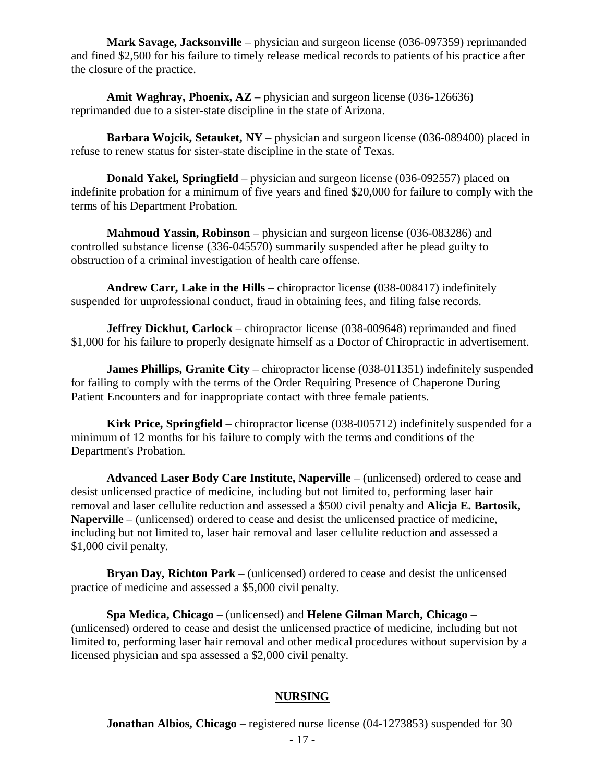**Mark Savage, Jacksonville** – physician and surgeon license (036-097359) reprimanded and fined \$2,500 for his failure to timely release medical records to patients of his practice after the closure of the practice.

**Amit Waghray, Phoenix, AZ** – physician and surgeon license (036-126636) reprimanded due to a sister-state discipline in the state of Arizona.

**Barbara Wojcik, Setauket, NY** – physician and surgeon license (036-089400) placed in refuse to renew status for sister-state discipline in the state of Texas.

**Donald Yakel, Springfield** – physician and surgeon license (036-092557) placed on indefinite probation for a minimum of five years and fined \$20,000 for failure to comply with the terms of his Department Probation.

**Mahmoud Yassin, Robinson** – physician and surgeon license (036-083286) and controlled substance license (336-045570) summarily suspended after he plead guilty to obstruction of a criminal investigation of health care offense.

**Andrew Carr, Lake in the Hills** – chiropractor license (038-008417) indefinitely suspended for unprofessional conduct, fraud in obtaining fees, and filing false records.

**Jeffrey Dickhut, Carlock** – chiropractor license (038-009648) reprimanded and fined \$1,000 for his failure to properly designate himself as a Doctor of Chiropractic in advertisement.

**James Phillips, Granite City** – chiropractor license (038-011351) indefinitely suspended for failing to comply with the terms of the Order Requiring Presence of Chaperone During Patient Encounters and for inappropriate contact with three female patients.

**Kirk Price, Springfield** – chiropractor license (038-005712) indefinitely suspended for a minimum of 12 months for his failure to comply with the terms and conditions of the Department's Probation.

**Advanced Laser Body Care Institute, Naperville** – (unlicensed) ordered to cease and desist unlicensed practice of medicine, including but not limited to, performing laser hair removal and laser cellulite reduction and assessed a \$500 civil penalty and **Alicja E. Bartosik, Naperville** – (unlicensed) ordered to cease and desist the unlicensed practice of medicine, including but not limited to, laser hair removal and laser cellulite reduction and assessed a \$1,000 civil penalty.

**Bryan Day, Richton Park** – (unlicensed) ordered to cease and desist the unlicensed practice of medicine and assessed a \$5,000 civil penalty.

**Spa Medica, Chicago** – (unlicensed) and **Helene Gilman March, Chicago** – (unlicensed) ordered to cease and desist the unlicensed practice of medicine, including but not limited to, performing laser hair removal and other medical procedures without supervision by a licensed physician and spa assessed a \$2,000 civil penalty.

# **NURSING**

**Jonathan Albios, Chicago** – registered nurse license (04-1273853) suspended for 30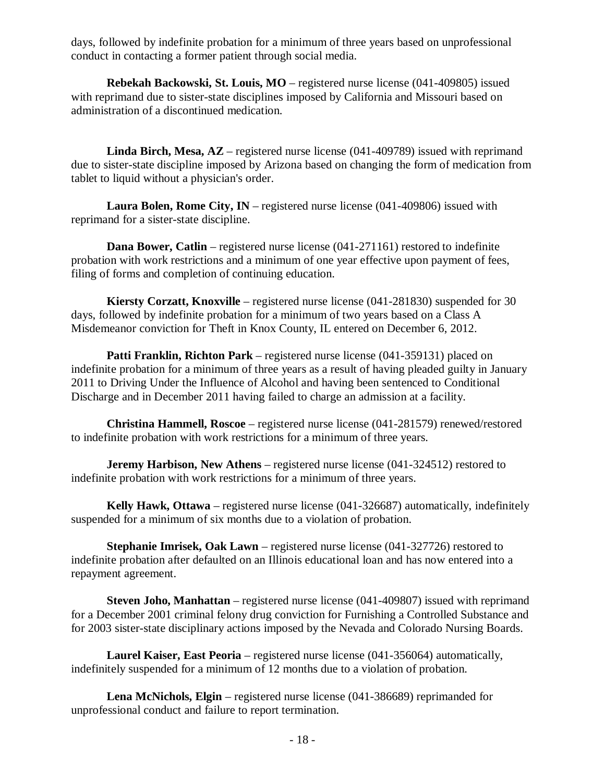days, followed by indefinite probation for a minimum of three years based on unprofessional conduct in contacting a former patient through social media.

**Rebekah Backowski, St. Louis, MO** – registered nurse license (041-409805) issued with reprimand due to sister-state disciplines imposed by California and Missouri based on administration of a discontinued medication.

**Linda Birch, Mesa, AZ** – registered nurse license (041-409789) issued with reprimand due to sister-state discipline imposed by Arizona based on changing the form of medication from tablet to liquid without a physician's order.

**Laura Bolen, Rome City, IN** – registered nurse license (041-409806) issued with reprimand for a sister-state discipline.

**Dana Bower, Catlin** – registered nurse license (041-271161) restored to indefinite probation with work restrictions and a minimum of one year effective upon payment of fees, filing of forms and completion of continuing education.

**Kiersty Corzatt, Knoxville** – registered nurse license (041-281830) suspended for 30 days, followed by indefinite probation for a minimum of two years based on a Class A Misdemeanor conviction for Theft in Knox County, IL entered on December 6, 2012.

**Patti Franklin, Richton Park** – registered nurse license (041-359131) placed on indefinite probation for a minimum of three years as a result of having pleaded guilty in January 2011 to Driving Under the Influence of Alcohol and having been sentenced to Conditional Discharge and in December 2011 having failed to charge an admission at a facility.

**Christina Hammell, Roscoe** – registered nurse license (041-281579) renewed/restored to indefinite probation with work restrictions for a minimum of three years.

**Jeremy Harbison, New Athens** – registered nurse license (041-324512) restored to indefinite probation with work restrictions for a minimum of three years.

**Kelly Hawk, Ottawa** – registered nurse license (041-326687) automatically, indefinitely suspended for a minimum of six months due to a violation of probation.

**Stephanie Imrisek, Oak Lawn** – registered nurse license (041-327726) restored to indefinite probation after defaulted on an Illinois educational loan and has now entered into a repayment agreement.

**Steven Joho, Manhattan** – registered nurse license (041-409807) issued with reprimand for a December 2001 criminal felony drug conviction for Furnishing a Controlled Substance and for 2003 sister-state disciplinary actions imposed by the Nevada and Colorado Nursing Boards.

**Laurel Kaiser, East Peoria** – registered nurse license (041-356064) automatically, indefinitely suspended for a minimum of 12 months due to a violation of probation.

**Lena McNichols, Elgin** – registered nurse license (041-386689) reprimanded for unprofessional conduct and failure to report termination.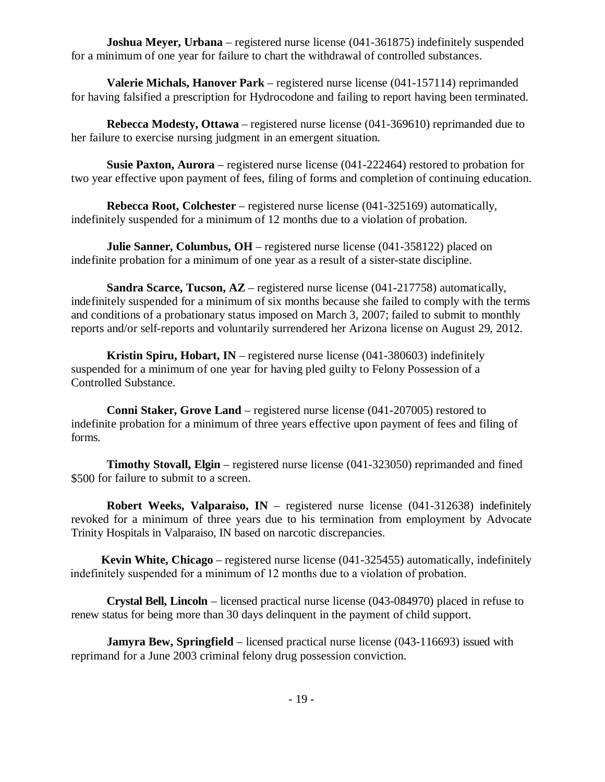**Joshua Meyer, Urbana** – registered nurse license (041-361875) indefinitely suspended for a minimum of one year for failure to chart the withdrawal of controlled substances.

**Valerie Michals, Hanover Park** – registered nurse license (041-157114) reprimanded for having falsified a prescription for Hydrocodone and failing to report having been terminated.

**Rebecca Modesty, Ottawa** – registered nurse license (041-369610) reprimanded due to her failure to exercise nursing judgment in an emergent situation.

**Susie Paxton, Aurora** – registered nurse license (041-222464) restored to probation for two year effective upon payment of fees, filing of forms and completion of continuing education.

**Rebecca Root, Colchester** – registered nurse license (041-325169) automatically, indefinitely suspended for a minimum of 12 months due to a violation of probation.

**Julie Sanner, Columbus, OH** – registered nurse license (041-358122) placed on indefinite probation for a minimum of one year as a result of a sister-state discipline.

**Sandra Scarce, Tucson, AZ** – registered nurse license (041-217758) automatically, indefinitely suspended for a minimum of six months because she failed to comply with the terms and conditions of a probationary status imposed on March 3, 2007; failed to submit to monthly reports and/or self-reports and voluntarily surrendered her Arizona license on August 29, 2012.

**Kristin Spiru, Hobart, IN** – registered nurse license (041-380603) indefinitely suspended for a minimum of one year for having pled guilty to Felony Possession of a Controlled Substance.

**Conni Staker, Grove Land** – registered nurse license (041-207005) restored to indefinite probation for a minimum of three years effective upon payment of fees and filing of forms.

**Timothy Stovall, Elgin** – registered nurse license (041-323050) reprimanded and fined \$500 for failure to submit to a screen.

**Robert Weeks, Valparaiso, IN** – registered nurse license (041-312638) indefinitely revoked for a minimum of three years due to his termination from employment by Advocate Trinity Hospitals in Valparaiso, IN based on narcotic discrepancies.

**Kevin White, Chicago** – registered nurse license (041-325455) automatically, indefinitely indefinitely suspended for a minimum of 12 months due to a violation of probation.

**Crystal Bell, Lincoln** – licensed practical nurse license (043-084970) placed in refuse to renew status for being more than 30 days delinquent in the payment of child support.

**Jamyra Bew, Springfield** – licensed practical nurse license (043-116693) issued with reprimand for a June 2003 criminal felony drug possession conviction.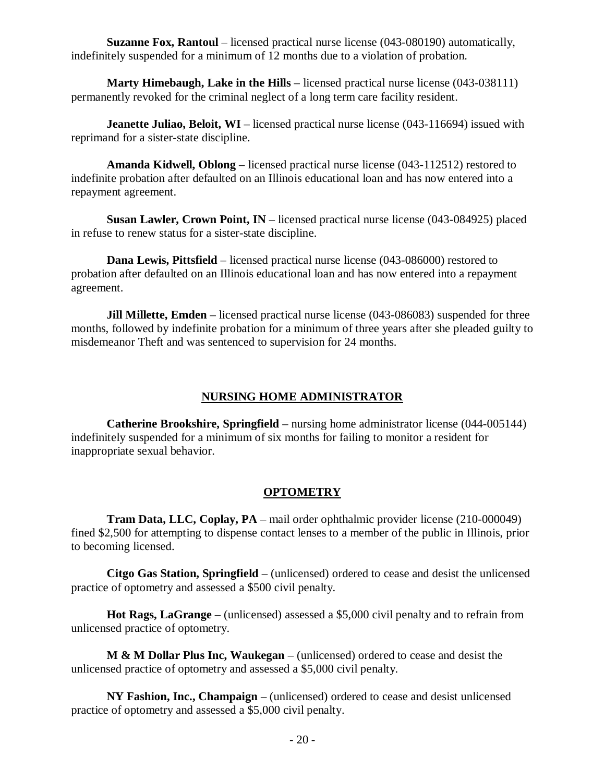**Suzanne Fox, Rantoul** – licensed practical nurse license (043-080190) automatically, indefinitely suspended for a minimum of 12 months due to a violation of probation.

**Marty Himebaugh, Lake in the Hills** – licensed practical nurse license (043-038111) permanently revoked for the criminal neglect of a long term care facility resident.

**Jeanette Juliao, Beloit, WI** – licensed practical nurse license (043-116694) issued with reprimand for a sister-state discipline.

**Amanda Kidwell, Oblong** – licensed practical nurse license (043-112512) restored to indefinite probation after defaulted on an Illinois educational loan and has now entered into a repayment agreement.

**Susan Lawler, Crown Point, IN** – licensed practical nurse license (043-084925) placed in refuse to renew status for a sister-state discipline.

**Dana Lewis, Pittsfield** – licensed practical nurse license (043-086000) restored to probation after defaulted on an Illinois educational loan and has now entered into a repayment agreement.

**Jill Millette, Emden** – licensed practical nurse license (043-086083) suspended for three months, followed by indefinite probation for a minimum of three years after she pleaded guilty to misdemeanor Theft and was sentenced to supervision for 24 months.

# **NURSING HOME ADMINISTRATOR**

**Catherine Brookshire, Springfield** – nursing home administrator license (044-005144) indefinitely suspended for a minimum of six months for failing to monitor a resident for inappropriate sexual behavior.

# **OPTOMETRY**

**Tram Data, LLC, Coplay, PA** – mail order ophthalmic provider license (210-000049) fined \$2,500 for attempting to dispense contact lenses to a member of the public in Illinois, prior to becoming licensed.

**Citgo Gas Station, Springfield** – (unlicensed) ordered to cease and desist the unlicensed practice of optometry and assessed a \$500 civil penalty.

**Hot Rags, LaGrange** – (unlicensed) assessed a \$5,000 civil penalty and to refrain from unlicensed practice of optometry.

**M & M Dollar Plus Inc, Waukegan** – (unlicensed) ordered to cease and desist the unlicensed practice of optometry and assessed a \$5,000 civil penalty.

**NY Fashion, Inc., Champaign** – (unlicensed) ordered to cease and desist unlicensed practice of optometry and assessed a \$5,000 civil penalty.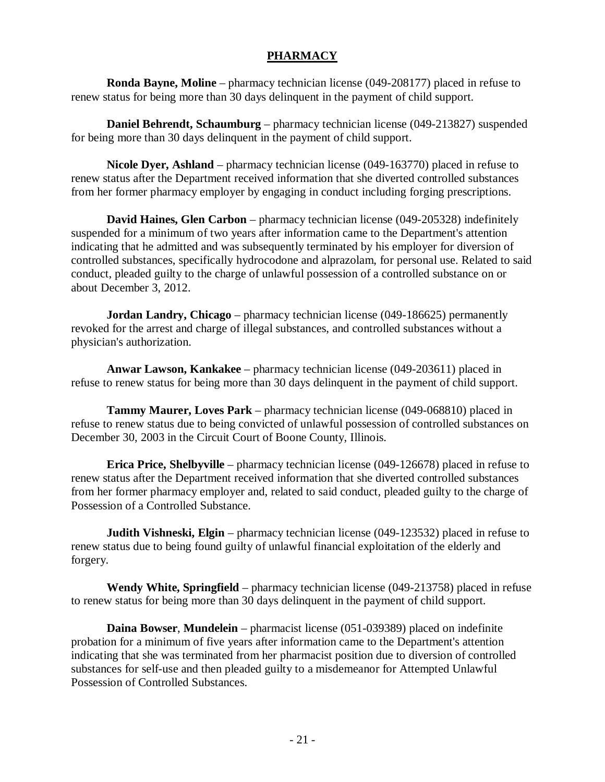# **PHARMACY**

**Ronda Bayne, Moline** – pharmacy technician license (049-208177) placed in refuse to renew status for being more than 30 days delinquent in the payment of child support.

**Daniel Behrendt, Schaumburg** – pharmacy technician license (049-213827) suspended for being more than 30 days delinquent in the payment of child support.

**Nicole Dyer, Ashland** – pharmacy technician license (049-163770) placed in refuse to renew status after the Department received information that she diverted controlled substances from her former pharmacy employer by engaging in conduct including forging prescriptions.

**David Haines, Glen Carbon** – pharmacy technician license (049-205328) indefinitely suspended for a minimum of two years after information came to the Department's attention indicating that he admitted and was subsequently terminated by his employer for diversion of controlled substances, specifically hydrocodone and alprazolam, for personal use. Related to said conduct, pleaded guilty to the charge of unlawful possession of a controlled substance on or about December 3, 2012.

**Jordan Landry, Chicago** – pharmacy technician license (049-186625) permanently revoked for the arrest and charge of illegal substances, and controlled substances without a physician's authorization.

**Anwar Lawson, Kankakee** – pharmacy technician license (049-203611) placed in refuse to renew status for being more than 30 days delinquent in the payment of child support.

**Tammy Maurer, Loves Park** – pharmacy technician license (049-068810) placed in refuse to renew status due to being convicted of unlawful possession of controlled substances on December 30, 2003 in the Circuit Court of Boone County, Illinois.

**Erica Price, Shelbyville** – pharmacy technician license (049-126678) placed in refuse to renew status after the Department received information that she diverted controlled substances from her former pharmacy employer and, related to said conduct, pleaded guilty to the charge of Possession of a Controlled Substance.

**Judith Vishneski, Elgin** – pharmacy technician license (049-123532) placed in refuse to renew status due to being found guilty of unlawful financial exploitation of the elderly and forgery.

**Wendy White, Springfield** – pharmacy technician license (049-213758) placed in refuse to renew status for being more than 30 days delinquent in the payment of child support.

**Daina Bowser**, **Mundelein** – pharmacist license (051-039389) placed on indefinite probation for a minimum of five years after information came to the Department's attention indicating that she was terminated from her pharmacist position due to diversion of controlled substances for self-use and then pleaded guilty to a misdemeanor for Attempted Unlawful Possession of Controlled Substances.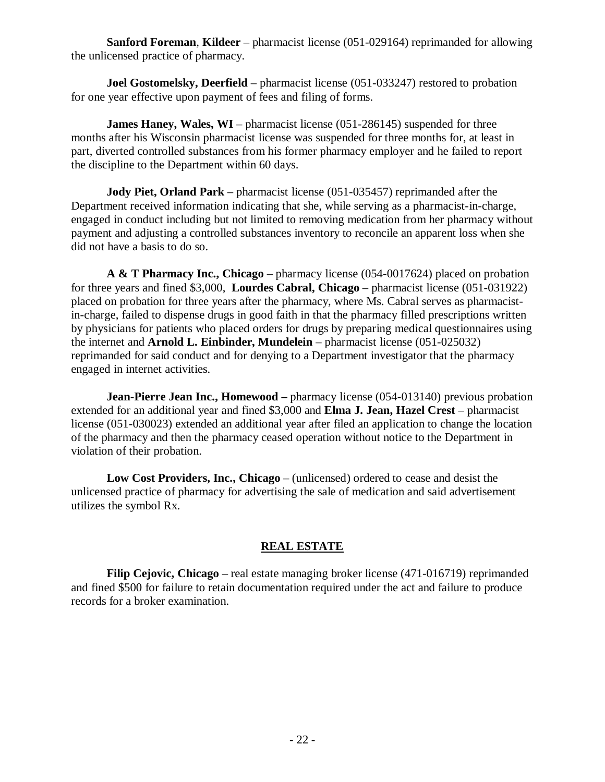**Sanford Foreman**, **Kildeer** – pharmacist license (051-029164) reprimanded for allowing the unlicensed practice of pharmacy.

**Joel Gostomelsky, Deerfield** – pharmacist license (051-033247) restored to probation for one year effective upon payment of fees and filing of forms.

**James Haney, Wales, WI** – pharmacist license (051-286145) suspended for three months after his Wisconsin pharmacist license was suspended for three months for, at least in part, diverted controlled substances from his former pharmacy employer and he failed to report the discipline to the Department within 60 days.

**Jody Piet, Orland Park** – pharmacist license (051-035457) reprimanded after the Department received information indicating that she, while serving as a pharmacist-in-charge, engaged in conduct including but not limited to removing medication from her pharmacy without payment and adjusting a controlled substances inventory to reconcile an apparent loss when she did not have a basis to do so.

**A & T Pharmacy Inc., Chicago** – pharmacy license (054-0017624) placed on probation for three years and fined \$3,000, **Lourdes Cabral, Chicago** – pharmacist license (051-031922) placed on probation for three years after the pharmacy, where Ms. Cabral serves as pharmacistin-charge, failed to dispense drugs in good faith in that the pharmacy filled prescriptions written by physicians for patients who placed orders for drugs by preparing medical questionnaires using the internet and **Arnold L. Einbinder, Mundelein** – pharmacist license (051-025032) reprimanded for said conduct and for denying to a Department investigator that the pharmacy engaged in internet activities.

**Jean-Pierre Jean Inc., Homewood** – pharmacy license (054-013140) previous probation extended for an additional year and fined \$3,000 and **Elma J. Jean, Hazel Crest** – pharmacist license (051-030023) extended an additional year after filed an application to change the location of the pharmacy and then the pharmacy ceased operation without notice to the Department in violation of their probation.

**Low Cost Providers, Inc., Chicago** – (unlicensed) ordered to cease and desist the unlicensed practice of pharmacy for advertising the sale of medication and said advertisement utilizes the symbol Rx.

# **REAL ESTATE**

**Filip Cejovic, Chicago** – real estate managing broker license (471-016719) reprimanded and fined \$500 for failure to retain documentation required under the act and failure to produce records for a broker examination.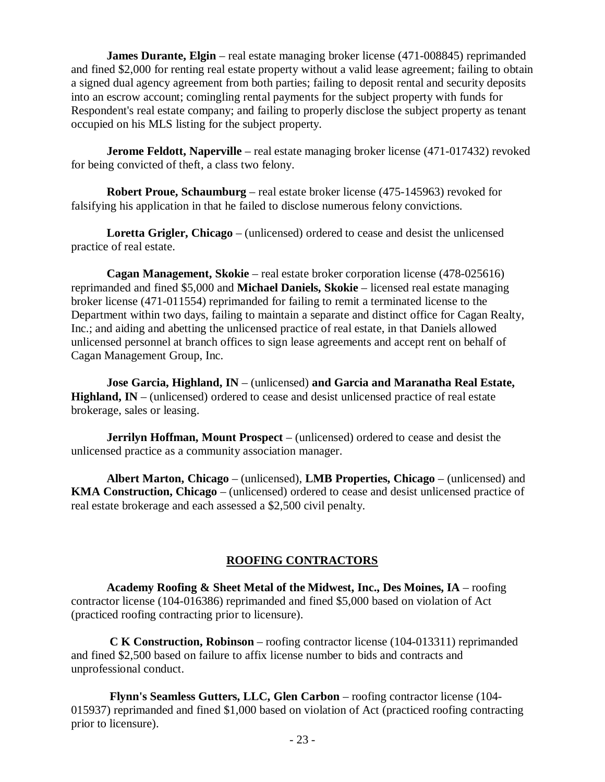**James Durante, Elgin** – real estate managing broker license (471-008845) reprimanded and fined \$2,000 for renting real estate property without a valid lease agreement; failing to obtain a signed dual agency agreement from both parties; failing to deposit rental and security deposits into an escrow account; comingling rental payments for the subject property with funds for Respondent's real estate company; and failing to properly disclose the subject property as tenant occupied on his MLS listing for the subject property.

**Jerome Feldott, Naperville** – real estate managing broker license (471-017432) revoked for being convicted of theft, a class two felony.

**Robert Proue, Schaumburg** – real estate broker license (475-145963) revoked for falsifying his application in that he failed to disclose numerous felony convictions.

**Loretta Grigler, Chicago** – (unlicensed) ordered to cease and desist the unlicensed practice of real estate.

**Cagan Management, Skokie** – real estate broker corporation license (478-025616) reprimanded and fined \$5,000 and **Michael Daniels, Skokie** – licensed real estate managing broker license (471-011554) reprimanded for failing to remit a terminated license to the Department within two days, failing to maintain a separate and distinct office for Cagan Realty, Inc.; and aiding and abetting the unlicensed practice of real estate, in that Daniels allowed unlicensed personnel at branch offices to sign lease agreements and accept rent on behalf of Cagan Management Group, Inc.

**Jose Garcia, Highland, IN** – (unlicensed) **and Garcia and Maranatha Real Estate,**  Highland, IN – (unlicensed) ordered to cease and desist unlicensed practice of real estate brokerage, sales or leasing.

**Jerrilyn Hoffman, Mount Prospect** – (unlicensed) ordered to cease and desist the unlicensed practice as a community association manager.

**Albert Marton, Chicago** – (unlicensed), **LMB Properties, Chicago** – (unlicensed) and **KMA Construction, Chicago** – (unlicensed) ordered to cease and desist unlicensed practice of real estate brokerage and each assessed a \$2,500 civil penalty.

# **ROOFING CONTRACTORS**

**Academy Roofing & Sheet Metal of the Midwest, Inc., Des Moines, IA** – roofing contractor license (104-016386) reprimanded and fined \$5,000 based on violation of Act (practiced roofing contracting prior to licensure).

**C K Construction, Robinson** – roofing contractor license (104-013311) reprimanded and fined \$2,500 based on failure to affix license number to bids and contracts and unprofessional conduct.

**Flynn's Seamless Gutters, LLC, Glen Carbon** – roofing contractor license (104- 015937) reprimanded and fined \$1,000 based on violation of Act (practiced roofing contracting prior to licensure).